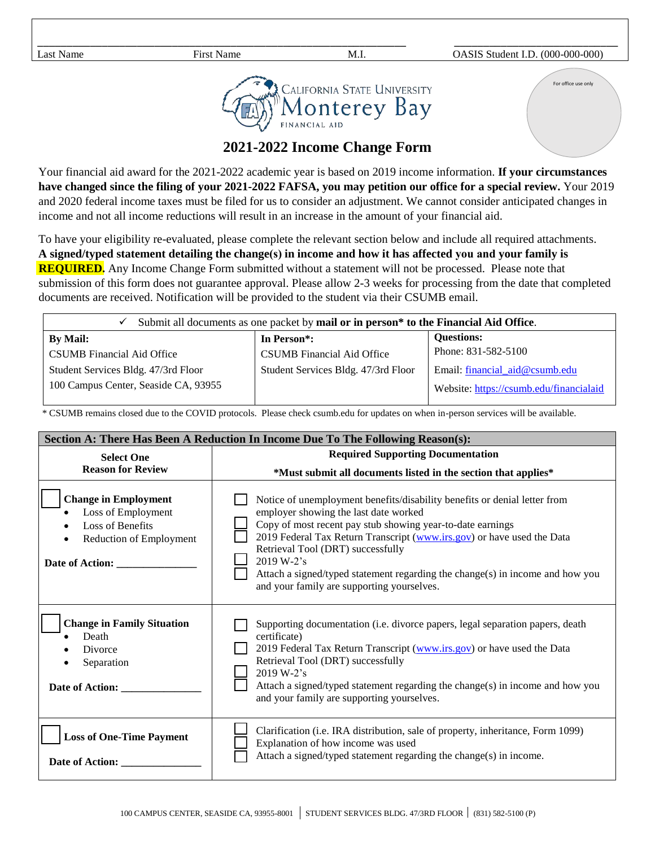For office use only



\_\_\_\_\_\_\_\_\_\_\_\_\_\_\_\_\_\_\_\_\_\_\_\_\_\_\_\_\_\_\_\_\_\_\_\_\_\_\_\_\_\_\_\_\_\_\_\_\_\_\_\_\_\_\_\_\_\_\_\_\_\_\_ \_\_\_\_\_\_\_\_\_\_\_\_\_\_\_\_\_\_\_\_\_\_\_\_\_\_\_\_

## **2021-2022 Income Change Form**

Your financial aid award for the 2021-2022 academic year is based on 2019 income information. **If your circumstances have changed since the filing of your 2021-2022 FAFSA, you may petition our office for a special review.** Your 2019 and 2020 federal income taxes must be filed for us to consider an adjustment. We cannot consider anticipated changes in income and not all income reductions will result in an increase in the amount of your financial aid.

To have your eligibility re-evaluated, please complete the relevant section below and include all required attachments. **A signed/typed statement detailing the change(s) in income and how it has affected you and your family is REQUIRED.** Any Income Change Form submitted without a statement will not be processed. Please note that submission of this form does not guarantee approval. Please allow 2-3 weeks for processing from the date that completed documents are received. Notification will be provided to the student via their CSUMB email.

| Submit all documents as one packet by mail or in person* to the Financial Aid Office.<br>✓ |                                     |                                         |  |  |
|--------------------------------------------------------------------------------------------|-------------------------------------|-----------------------------------------|--|--|
| <b>By Mail:</b>                                                                            | In Person <sup>*</sup> :            | <b>Questions:</b>                       |  |  |
| CSUMB Financial Aid Office                                                                 | <b>CSUMB</b> Financial Aid Office   | Phone: 831-582-5100                     |  |  |
| Student Services Bldg. 47/3rd Floor                                                        | Student Services Bldg. 47/3rd Floor | Email: financial $aid@csumb.edu$        |  |  |
| 100 Campus Center, Seaside CA, 93955                                                       |                                     | Website: https://csumb.edu/financialaid |  |  |

\* CSUMB remains closed due to the COVID protocols. Please check csumb.edu for updates on when in-person services will be available.

| Section A: There Has Been A Reduction In Income Due To The Following Reason(s):                                            |                                                                                                                                                                                                                                                                                                                                                                                                                                              |  |  |
|----------------------------------------------------------------------------------------------------------------------------|----------------------------------------------------------------------------------------------------------------------------------------------------------------------------------------------------------------------------------------------------------------------------------------------------------------------------------------------------------------------------------------------------------------------------------------------|--|--|
| <b>Select One</b>                                                                                                          | <b>Required Supporting Documentation</b>                                                                                                                                                                                                                                                                                                                                                                                                     |  |  |
| <b>Reason for Review</b>                                                                                                   | *Must submit all documents listed in the section that applies*                                                                                                                                                                                                                                                                                                                                                                               |  |  |
| <b>Change in Employment</b><br>Loss of Employment<br><b>Loss of Benefits</b><br>Reduction of Employment<br>Date of Action: | Notice of unemployment benefits/disability benefits or denial letter from<br>employer showing the last date worked<br>Copy of most recent pay stub showing year-to-date earnings<br>2019 Federal Tax Return Transcript (www.irs.gov) or have used the Data<br>Retrieval Tool (DRT) successfully<br>2019 W-2's<br>Attach a signed/typed statement regarding the change(s) in income and how you<br>and your family are supporting yourselves. |  |  |
| <b>Change in Family Situation</b><br>Death<br>Divorce<br>Separation<br>Date of Action:                                     | Supporting documentation (i.e. divorce papers, legal separation papers, death<br>certificate)<br>2019 Federal Tax Return Transcript (www.irs.gov) or have used the Data<br>Retrieval Tool (DRT) successfully<br>2019 W-2's<br>Attach a signed/typed statement regarding the change(s) in income and how you<br>and your family are supporting yourselves.                                                                                    |  |  |
| <b>Loss of One-Time Payment</b><br>Date of Action:                                                                         | Clarification (i.e. IRA distribution, sale of property, inheritance, Form 1099)<br>Explanation of how income was used<br>Attach a signed/typed statement regarding the change(s) in income.                                                                                                                                                                                                                                                  |  |  |